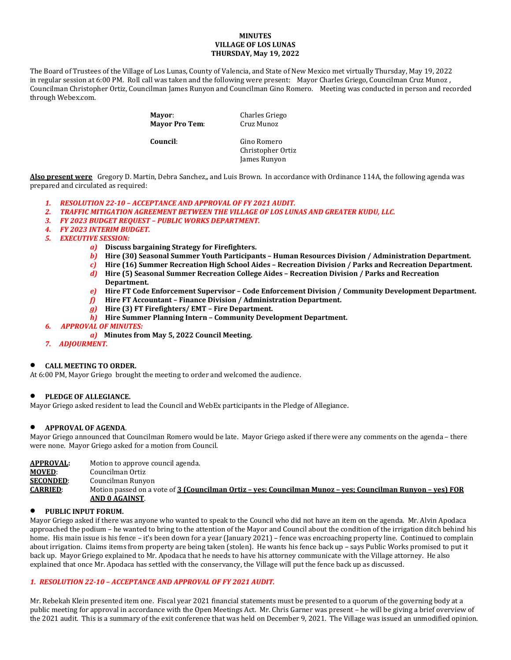## **MINUTES VILLAGE OF LOS LUNAS THURSDAY, May 19, 2022**

The Board of Trustees of the Village of Los Lunas, County of Valencia, and State of New Mexico met virtually Thursday, May 19, 2022 in regular session at 6:00 PM. Roll call was taken and the following were present: Mayor Charles Griego, Councilman Cruz Munoz , Councilman Christopher Ortiz, Councilman James Runyon and Councilman Gino Romero. Meeting was conducted in person and recorded through Webex.com.

> **Mayor:** Charles Griego<br> **Mayor Pro Tem:** Cruz Munoz **Mayor Pro Tem:**

**Council**: Gino Romero Christopher Ortiz James Runyon

**Also present were** Gregory D. Martin, Debra Sanchez,, and Luis Brown. In accordance with Ordinance 114A, the following agenda was prepared and circulated as required:

- *1. RESOLUTION 22-10 – ACCEPTANCE AND APPROVAL OF FY 2021 AUDIT.*
- *2. TRAFFIC MITIGATION AGREEMENT BETWEEN THE VILLAGE OF LOS LUNAS AND GREATER KUDU, LLC.*
- *3. FY 2023 BUDGET REQUEST – PUBLIC WORKS DEPARTMENT.*
- *4. FY 2023 INTERIM BUDGET.*
- *5. EXECUTIVE SESSION:*
	- *a)* **Discuss bargaining Strategy for Firefighters.**
	- *b)* **Hire (30) Seasonal Summer Youth Participants – Human Resources Division / Administration Department.**
	- *c)* **Hire (16) Summer Recreation High School Aides – Recreation Division / Parks and Recreation Department.**
	- *d)* **Hire (5) Seasonal Summer Recreation College Aides – Recreation Division / Parks and Recreation Department.**
	- *e)* **Hire FT Code Enforcement Supervisor – Code Enforcement Division / Community Development Department.**
	- *f)* **Hire FT Accountant – Finance Division / Administration Department.**
	- *g)* **Hire (3) FT Firefighters/ EMT – Fire Department.**
	- *h)* **Hire Summer Planning Intern – Community Development Department.**
- *6. APPROVAL OF MINUTES:*
	- *a)* **Minutes from May 5, 2022 Council Meeting.**
- *7. ADJOURMENT.*

## • **CALL MEETING TO ORDER.**

At 6:00 PM, Mayor Griego brought the meeting to order and welcomed the audience.

## • **PLEDGE OF ALLEGIANCE.**

Mayor Griego asked resident to lead the Council and WebEx participants in the Pledge of Allegiance.

## • **APPROVAL OF AGENDA**.

Mayor Griego announced that Councilman Romero would be late. Mayor Griego asked if there were any comments on the agenda – there were none. Mayor Griego asked for a motion from Council.

| <b>APPROVAL:</b> | Motion to approve council agenda.                                                                                            |
|------------------|------------------------------------------------------------------------------------------------------------------------------|
| <b>MOVED:</b>    | Councilman Ortiz                                                                                                             |
| <b>SECONDED:</b> | Councilman Runyon                                                                                                            |
| <b>CARRIED:</b>  | Motion passed on a vote of 3 (Councilman Ortiz - yes; Councilman Munoz - yes; Councilman Runyon - yes) FOR<br>AND 0 AGAINST. |

## • **PUBLIC INPUT FORUM.**

Mayor Griego asked if there was anyone who wanted to speak to the Council who did not have an item on the agenda. Mr. Alvin Apodaca approached the podium – he wanted to bring to the attention of the Mayor and Council about the condition of the irrigation ditch behind his home. His main issue is his fence – it's been down for a year (January 2021) – fence was encroaching property line. Continued to complain about irrigation. Claims items from property are being taken (stolen). He wants his fence back up – says Public Works promised to put it back up. Mayor Griego explained to Mr. Apodaca that he needs to have his attorney communicate with the Village attorney. He also explained that once Mr. Apodaca has settled with the conservancy, the Village will put the fence back up as discussed.

# *1. RESOLUTION 22-10 – ACCEPTANCE AND APPROVAL OF FY 2021 AUDIT.*

Mr. Rebekah Klein presented item one. Fiscal year 2021 financial statements must be presented to a quorum of the governing body at a public meeting for approval in accordance with the Open Meetings Act. Mr. Chris Garner was present – he will be giving a brief overview of the 2021 audit. This is a summary of the exit conference that was held on December 9, 2021. The Village was issued an unmodified opinion.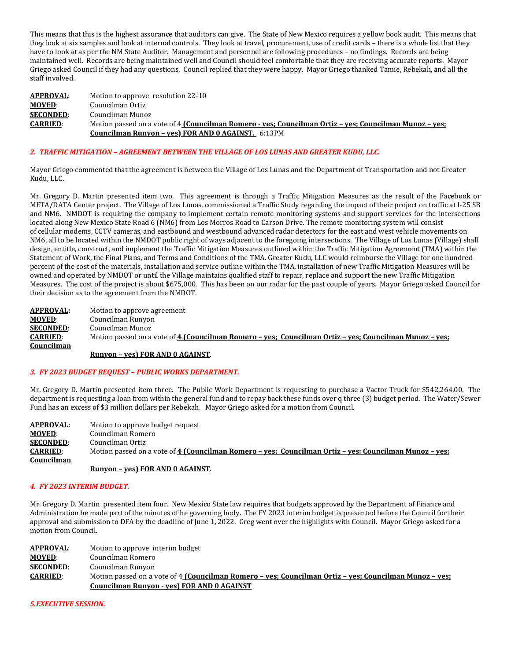This means that this is the highest assurance that auditors can give. The State of New Mexico requires a yellow book audit. This means that they look at six samples and look at internal controls. They look at travel, procurement, use of credit cards – there is a whole list that they have to look at as per the NM State Auditor. Management and personnel are following procedures – no findings. Records are being maintained well. Records are being maintained well and Council should feel comfortable that they are receiving accurate reports. Mayor Griego asked Council if they had any questions. Council replied that they were happy. Mayor Griego thanked Tamie, Rebekah, and all the staff involved.

| <b>APPROVAL:</b> | Motion to approve resolution 22-10                                                                     |
|------------------|--------------------------------------------------------------------------------------------------------|
| <b>MOVED:</b>    | Councilman Ortiz                                                                                       |
| <b>SECONDED:</b> | Councilman Munoz                                                                                       |
| <b>CARRIED:</b>  | Motion passed on a vote of 4 (Councilman Romero - yes; Councilman Ortiz – yes; Councilman Munoz – yes; |
|                  | <b>Councilman Runyon - yes) FOR AND 0 AGAINST.</b> 6:13PM                                              |

# *2. TRAFFIC MITIGATION – AGREEMENT BETWEEN THE VILLAGE OF LOS LUNAS AND GREATER KUDU, LLC.*

Mayor Griego commented that the agreement is between the Village of Los Lunas and the Department of Transportation and not Greater Kudu, LLC.

Mr. Gregory D. Martin presented item two. This agreement is through a Traffic Mitigation Measures as the result of the Facebook or META/DATA Center project. The Village of Los Lunas, commissioned a Traffic Study regarding the impact of their project on traffic at I-25 SB and NM6. NMDOT is requiring the company to implement certain remote monitoring systems and support services for the intersections located along New Mexico State Road 6 (NM6) from Los Morros Road to Carson Drive. The remote monitoring system will consist of cellular modems, CCTV cameras, and eastbound and westbound advanced radar detectors for the east and west vehicle movements on NM6, all to be located within the NMDOT public right of ways adjacent to the foregoing intersections. The Village of Los Lunas (Village) shall design, entitle, construct, and implement the Traffic Mitigation Measures outlined within the Traffic Mitigation Agreement (TMA) within the Statement of Work, the Final Plans, and Terms and Conditions of the TMA. Greater Kudu, LLC would reimburse the Village for one hundred percent of the cost of the materials, installation and service outline within the TMA. installation of new Traffic Mitigation Measures will be owned and operated by NMDOT or until the Village maintains qualified staff to repair, replace and support the new Traffic Mitigation Measures. The cost of the project is about \$675,000. This has been on our radar for the past couple of years. Mayor Griego asked Council for their decision as to the agreement from the NMDOT.

| <b>APPROVAL:</b> | Motion to approve agreement                                                                            |
|------------------|--------------------------------------------------------------------------------------------------------|
| <b>MOVED:</b>    | Councilman Runyon                                                                                      |
| <b>SECONDED:</b> | Councilman Munoz                                                                                       |
| <b>CARRIED:</b>  | Motion passed on a vote of 4 (Councilman Romero – ves: Councilman Ortiz – ves: Councilman Munoz – ves: |
| Councilman       |                                                                                                        |

#### **Runyon – yes) FOR AND 0 AGAINST**.

#### *3. FY 2023 BUDGET REQUEST – PUBLIC WORKS DEPARTMENT.*

Mr. Gregory D. Martin presented item three. The Public Work Department is requesting to purchase a Vactor Truck for \$542,264.00. The department is requesting a loan from within the general fund and to repay back these funds over q three (3) budget period. The Water/Sewer Fund has an excess of \$3 million dollars per Rebekah. Mayor Griego asked for a motion from Council.

| <b>APPROVAL:</b> | Motion to approve budget request                                                                       |
|------------------|--------------------------------------------------------------------------------------------------------|
| <b>MOVED:</b>    | Councilman Romero                                                                                      |
| <b>SECONDED:</b> | Councilman Ortiz                                                                                       |
| <b>CARRIED:</b>  | Motion passed on a vote of 4 (Councilman Romero – ves: Councilman Ortiz – ves: Councilman Munoz – ves: |
| Councilman       |                                                                                                        |
|                  | <b>Runyon - yes) FOR AND 0 AGAINST.</b>                                                                |

# *4. FY 2023 INTERIM BUDGET.*

Mr. Gregory D. Martin presented item four. New Mexico State law requires that budgets approved by the Department of Finance and Administration be made part of the minutes of he governing body. The FY 2023 interim budget is presented before the Council for their approval and submission to DFA by the deadline of June 1, 2022. Greg went over the highlights with Council. Mayor Griego asked for a motion from Council.

| APPROVAL:        | Motion to approve interim budget                                                                       |
|------------------|--------------------------------------------------------------------------------------------------------|
| <b>MOVED:</b>    | Councilman Romero                                                                                      |
| <b>SECONDED:</b> | Councilman Runyon                                                                                      |
| <b>CARRIED:</b>  | Motion passed on a vote of 4 (Councilman Romero - yes; Councilman Ortiz - yes; Councilman Munoz - yes; |
|                  | <b>Councilman Runyon - yes) FOR AND 0 AGAINST</b>                                                      |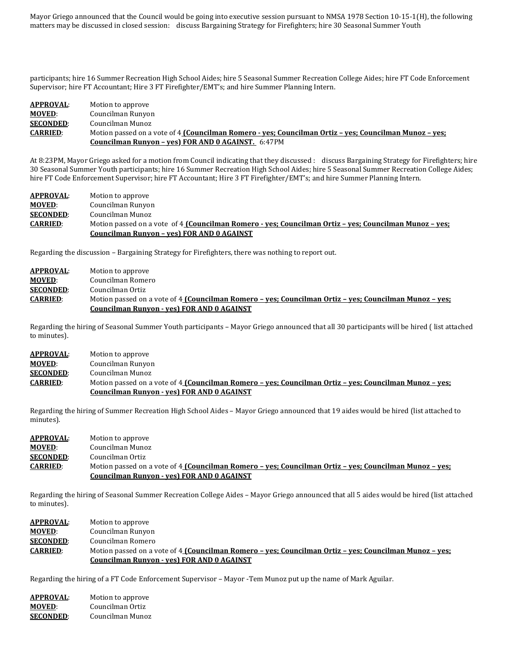Mayor Griego announced that the Council would be going into executive session pursuant to NMSA 1978 Section 10-15-1(H), the following matters may be discussed in closed session: discuss Bargaining Strategy for Firefighters; hire 30 Seasonal Summer Youth

participants; hire 16 Summer Recreation High School Aides; hire 5 Seasonal Summer Recreation College Aides; hire FT Code Enforcement Supervisor; hire FT Accountant; Hire 3 FT Firefighter/EMT's; and hire Summer Planning Intern.

# **APPROVAL:** Motion to approve<br> **MOVED:** Councilman Runyo **MOVED:** Councilman Runyon<br>**SECONDED:** Councilman Munoz **SECONDED:** Councilman Munoz<br>**CARRIED:** Motion passed on a **CARRIED**: Motion passed on a vote of 4 **(Councilman Romero - yes; Councilman Ortiz – yes; Councilman Munoz – yes; Councilman Runyon – yes) FOR AND 0 AGAINST.** 6:47PM

At 8:23PM, Mayor Griego asked for a motion from Council indicating that they discussed : discuss Bargaining Strategy for Firefighters; hire 30 Seasonal Summer Youth participants; hire 16 Summer Recreation High School Aides; hire 5 Seasonal Summer Recreation College Aides; hire FT Code Enforcement Supervisor; hire FT Accountant; Hire 3 FT Firefighter/EMT's; and hire Summer Planning Intern.

| <b>APPROVAL:</b> | Motion to approve                                                                                      |
|------------------|--------------------------------------------------------------------------------------------------------|
| <b>MOVED:</b>    | Councilman Runyon                                                                                      |
| <b>SECONDED:</b> | Councilman Munoz                                                                                       |
| <b>CARRIED:</b>  | Motion passed on a vote of 4 (Councilman Romero - yes; Councilman Ortiz – yes; Councilman Munoz – yes; |
|                  | Councilman Runyon - yes) FOR AND 0 AGAINST                                                             |

Regarding the discussion – Bargaining Strategy for Firefighters, there was nothing to report out.

| <b>APPROVAL:</b> | Motion to approve                                                                                      |
|------------------|--------------------------------------------------------------------------------------------------------|
| <b>MOVED:</b>    | Councilman Romero                                                                                      |
| <b>SECONDED:</b> | Councilman Ortiz                                                                                       |
| <b>CARRIED:</b>  | Motion passed on a vote of 4 (Councilman Romero – yes; Councilman Ortiz – yes; Councilman Munoz – yes; |
|                  | Councilman Runyon - yes) FOR AND 0 AGAINST                                                             |

Regarding the hiring of Seasonal Summer Youth participants – Mayor Griego announced that all 30 participants will be hired ( list attached to minutes).

## **APPROVAL**: Motion to approve **MOVED**: Councilman Runyon **SECONDED:** Councilman Munoz<br>**CARRIED:** Motion passed on a **CARRIED**: Motion passed on a vote of 4 **(Councilman Romero – yes; Councilman Ortiz – yes; Councilman Munoz – yes; Councilman Runyon - yes) FOR AND 0 AGAINST**

Regarding the hiring of Summer Recreation High School Aides – Mayor Griego announced that 19 aides would be hired (list attached to minutes).

| APPROVAL:        | Motion to approve                                                                                      |
|------------------|--------------------------------------------------------------------------------------------------------|
| <b>MOVED:</b>    | Councilman Munoz                                                                                       |
| <b>SECONDED:</b> | Councilman Ortiz                                                                                       |
| <b>CARRIED:</b>  | Motion passed on a vote of 4 (Councilman Romero - yes; Councilman Ortiz - yes; Councilman Munoz - yes; |
|                  | <b>Councilman Runyon - ves) FOR AND 0 AGAINST</b>                                                      |

Regarding the hiring of Seasonal Summer Recreation College Aides – Mayor Griego announced that all 5 aides would be hired (list attached to minutes).

| <b>APPROVAL:</b> | Motion to approve                                                                                      |
|------------------|--------------------------------------------------------------------------------------------------------|
| <b>MOVED:</b>    | Councilman Runyon                                                                                      |
| <b>SECONDED:</b> | Councilman Romero                                                                                      |
| <b>CARRIED:</b>  | Motion passed on a vote of 4 (Councilman Romero – ves: Councilman Ortiz – ves: Councilman Munoz – ves: |
|                  | Councilman Runyon - yes) FOR AND 0 AGAINST                                                             |

Regarding the hiring of a FT Code Enforcement Supervisor – Mayor -Tem Munoz put up the name of Mark Aguilar.

| <b>APPROVAL:</b> | Motion to approve |
|------------------|-------------------|
| <b>MOVED:</b>    | Councilman Ortiz  |
| <b>SECONDED:</b> | Councilman Munoz  |